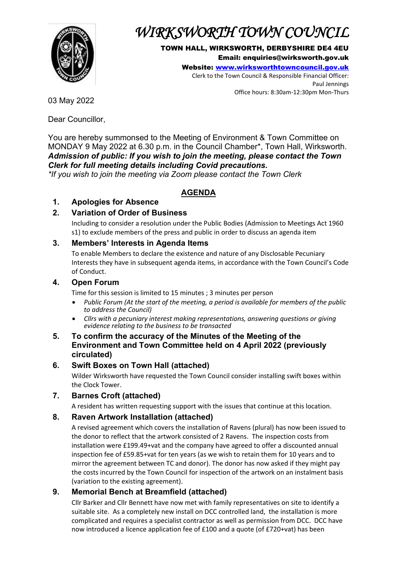

# *WIRKSWORTH TOWN COUNCIL*

TOWN HALL, WIRKSWORTH, DERBYSHIRE DE4 4EU Email: enquiries@wirksworth.gov.uk

Website: [www.wirksworthtowncouncil.gov.uk](http://www.wirksworthtowncouncil.gov.uk/) Clerk to the Town Council & Responsible Financial Officer: Paul Jennings Office hours: 8:30am-12:30pm Mon-Thurs

03 May 2022

Dear Councillor,

You are hereby summonsed to the Meeting of Environment & Town Committee on MONDAY 9 May 2022 at 6.30 p.m. in the Council Chamber\*, Town Hall, Wirksworth. *Admission of public: If you wish to join the meeting, please contact the Town Clerk for full meeting details including Covid precautions.*

*\*If you wish to join the meeting via Zoom please contact the Town Clerk*

# **AGENDA**

# **1. Apologies for Absence**

## **2. Variation of Order of Business**

Including to consider a resolution under the Public Bodies (Admission to Meetings Act 1960 s1) to exclude members of the press and public in order to discuss an agenda item

#### **3. Members' Interests in Agenda Items**

To enable Members to declare the existence and nature of any Disclosable Pecuniary Interests they have in subsequent agenda items, in accordance with the Town Council's Code of Conduct.

#### **4. Open Forum**

Time for this session is limited to 15 minutes ; 3 minutes per person

- *Public Forum (At the start of the meeting, a period is available for members of the public to address the Council)*
- *Cllrs with a pecuniary interest making representations, answering questions or giving evidence relating to the business to be transacted*
- **5. To confirm the accuracy of the Minutes of the Meeting of the Environment and Town Committee held on 4 April 2022 (previously circulated)**

#### **6. Swift Boxes on Town Hall (attached)**

Wilder Wirksworth have requested the Town Council consider installing swift boxes within the Clock Tower.

**7. Barnes Croft (attached)**

A resident has written requesting support with the issues that continue at this location.

#### **8. Raven Artwork Installation (attached)**

A revised agreement which covers the installation of Ravens (plural) has now been issued to the donor to reflect that the artwork consisted of 2 Ravens. The inspection costs from installation were £199.49+vat and the company have agreed to offer a discounted annual inspection fee of £59.85+vat for ten years (as we wish to retain them for 10 years and to mirror the agreement between TC and donor). The donor has now asked if they might pay the costs incurred by the Town Council for inspection of the artwork on an instalment basis (variation to the existing agreement).

#### **9. Memorial Bench at Breamfield (attached)**

Cllr Barker and Cllr Bennett have now met with family representatives on site to identify a suitable site. As a completely new install on DCC controlled land, the installation is more complicated and requires a specialist contractor as well as permission from DCC. DCC have now introduced a licence application fee of £100 and a quote (of £720+vat) has been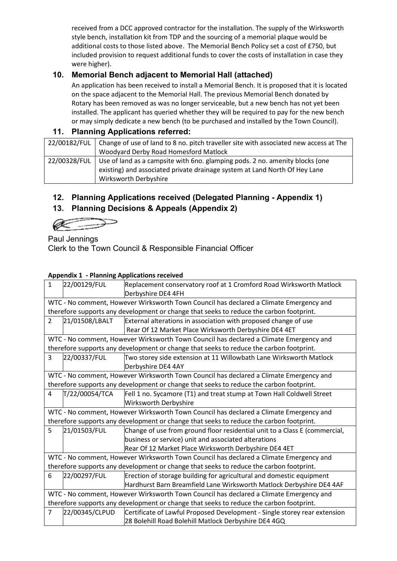received from a DCC approved contractor for the installation. The supply of the Wirksworth style bench, installation kit from TDP and the sourcing of a memorial plaque would be additional costs to those listed above. The Memorial Bench Policy set a cost of £750, but included provision to request additional funds to cover the costs of installation in case they were higher).

# **10. Memorial Bench adjacent to Memorial Hall (attached)**

An application has been received to install a Memorial Bench. It is proposed that it is located on the space adjacent to the Memorial Hall. The previous Memorial Bench donated by Rotary has been removed as was no longer serviceable, but a new bench has not yet been installed. The applicant has queried whether they will be required to pay for the new bench or may simply dedicate a new bench (to be purchased and installed by the Town Council).

### **11. Planning Applications referred:**

|              | 22/00182/FUL   Change of use of land to 8 no. pitch traveller site with associated new access at The |
|--------------|------------------------------------------------------------------------------------------------------|
|              | Woodyard Derby Road Homesford Matlock                                                                |
| 22/00328/FUL | Use of land as a campsite with 6no. glamping pods. 2 no. amenity blocks (one                         |
|              | existing) and associated private drainage system at Land North Of Hey Lane                           |
|              | Wirksworth Derbyshire                                                                                |

# **12. Planning Applications received (Delegated Planning - Appendix 1)**

## **13. Planning Decisions & Appeals (Appendix 2)**

Paul Jennings Clerk to the Town Council & Responsible Financial Officer

#### **Appendix 1 - Planning Applications received**

| . .<br>$\mathbf{1}$                                                                     | 22/00129/FUL                                                                            | Replacement conservatory roof at 1 Cromford Road Wirksworth Matlock                     |  |  |  |
|-----------------------------------------------------------------------------------------|-----------------------------------------------------------------------------------------|-----------------------------------------------------------------------------------------|--|--|--|
|                                                                                         |                                                                                         | Derbyshire DE4 4FH                                                                      |  |  |  |
|                                                                                         |                                                                                         | WTC - No comment, However Wirksworth Town Council has declared a Climate Emergency and  |  |  |  |
|                                                                                         | therefore supports any development or change that seeks to reduce the carbon footprint. |                                                                                         |  |  |  |
| $\overline{2}$                                                                          | 21/01508/LBALT                                                                          | External alterations in association with proposed change of use                         |  |  |  |
|                                                                                         |                                                                                         | Rear Of 12 Market Place Wirksworth Derbyshire DE4 4ET                                   |  |  |  |
| WTC - No comment, However Wirksworth Town Council has declared a Climate Emergency and  |                                                                                         |                                                                                         |  |  |  |
| therefore supports any development or change that seeks to reduce the carbon footprint. |                                                                                         |                                                                                         |  |  |  |
| 3                                                                                       | 22/00337/FUL                                                                            | Two storey side extension at 11 Willowbath Lane Wirksworth Matlock                      |  |  |  |
|                                                                                         |                                                                                         | Derbyshire DE4 4AY                                                                      |  |  |  |
| WTC - No comment, However Wirksworth Town Council has declared a Climate Emergency and  |                                                                                         |                                                                                         |  |  |  |
|                                                                                         |                                                                                         | therefore supports any development or change that seeks to reduce the carbon footprint. |  |  |  |
| 4                                                                                       | T/22/00054/TCA                                                                          | Fell 1 no. Sycamore (T1) and treat stump at Town Hall Coldwell Street                   |  |  |  |
|                                                                                         |                                                                                         | <b>Wirksworth Derbyshire</b>                                                            |  |  |  |
| WTC - No comment, However Wirksworth Town Council has declared a Climate Emergency and  |                                                                                         |                                                                                         |  |  |  |
| therefore supports any development or change that seeks to reduce the carbon footprint. |                                                                                         |                                                                                         |  |  |  |
| 5                                                                                       | 21/01503/FUL                                                                            | Change of use from ground floor residential unit to a Class E (commercial,              |  |  |  |
|                                                                                         |                                                                                         | business or service) unit and associated alterations                                    |  |  |  |
|                                                                                         |                                                                                         | Rear Of 12 Market Place Wirksworth Derbyshire DE4 4ET                                   |  |  |  |
| WTC - No comment, However Wirksworth Town Council has declared a Climate Emergency and  |                                                                                         |                                                                                         |  |  |  |
| therefore supports any development or change that seeks to reduce the carbon footprint. |                                                                                         |                                                                                         |  |  |  |
| 6                                                                                       | 22/00297/FUL                                                                            | Erection of storage building for agricultural and domestic equipment                    |  |  |  |
|                                                                                         |                                                                                         | Hardhurst Barn Breamfield Lane Wirksworth Matlock Derbyshire DE4 4AF                    |  |  |  |
| WTC - No comment, However Wirksworth Town Council has declared a Climate Emergency and  |                                                                                         |                                                                                         |  |  |  |
| therefore supports any development or change that seeks to reduce the carbon footprint. |                                                                                         |                                                                                         |  |  |  |
| $\overline{7}$                                                                          | 22/00345/CLPUD                                                                          | Certificate of Lawful Proposed Development - Single storey rear extension               |  |  |  |
|                                                                                         |                                                                                         | 28 Bolehill Road Bolehill Matlock Derbyshire DE4 4GQ                                    |  |  |  |